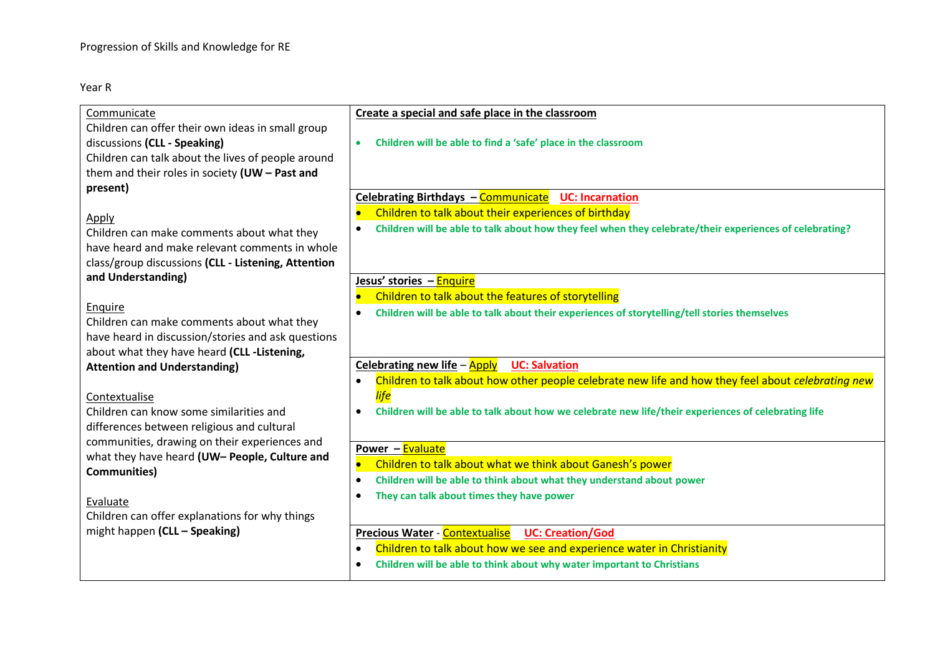## Year R

| Communicate                                                                                                                                                  | Create a special and safe place in the classroom                                                                     |
|--------------------------------------------------------------------------------------------------------------------------------------------------------------|----------------------------------------------------------------------------------------------------------------------|
| Children can offer their own ideas in small group<br>discussions (CLL - Speaking)                                                                            | Children will be able to find a 'safe' place in the classroom<br>$\bullet$                                           |
| Children can talk about the lives of people around<br>them and their roles in society $(UW - Past$ and                                                       |                                                                                                                      |
| present)                                                                                                                                                     | Celebrating Birthdays - Communicate UC: Incarnation                                                                  |
|                                                                                                                                                              | Children to talk about their experiences of birthday                                                                 |
| Apply<br>Children can make comments about what they<br>have heard and make relevant comments in whole<br>class/group discussions (CLL - Listening, Attention | Children will be able to talk about how they feel when they celebrate/their experiences of celebrating?<br>$\bullet$ |
| and Understanding)                                                                                                                                           | Jesus' stories - Enquire                                                                                             |
|                                                                                                                                                              | Children to talk about the features of storytelling                                                                  |
| Enquire                                                                                                                                                      | Children will be able to talk about their experiences of storytelling/tell stories themselves<br>$\bullet$           |
| Children can make comments about what they                                                                                                                   |                                                                                                                      |
| have heard in discussion/stories and ask questions<br>about what they have heard (CLL-Listening,                                                             |                                                                                                                      |
| <b>Attention and Understanding)</b>                                                                                                                          | <b>UC: Salvation</b><br>Celebrating new life $-\frac{Apply}{\pi}$                                                    |
|                                                                                                                                                              | Children to talk about how other people celebrate new life and how they feel about celebrating new<br>$\bullet$      |
| Contextualise                                                                                                                                                | <b>life</b>                                                                                                          |
| Children can know some similarities and                                                                                                                      | Children will be able to talk about how we celebrate new life/their experiences of celebrating life<br>$\bullet$     |
| differences between religious and cultural                                                                                                                   |                                                                                                                      |
| communities, drawing on their experiences and                                                                                                                | Power - Evaluate                                                                                                     |
| what they have heard (UW- People, Culture and                                                                                                                | Children to talk about what we think about Ganesh's power                                                            |
| <b>Communities)</b>                                                                                                                                          | Children will be able to think about what they understand about power<br>$\bullet$                                   |
| Evaluate                                                                                                                                                     | They can talk about times they have power<br>$\bullet$                                                               |
| Children can offer explanations for why things                                                                                                               |                                                                                                                      |
| might happen (CLL - Speaking)                                                                                                                                | <b>Precious Water - Contextualise</b><br><b>UC: Creation/God</b>                                                     |
|                                                                                                                                                              | Children to talk about how we see and experience water in Christianity<br>$\bullet$                                  |
|                                                                                                                                                              | Children will be able to think about why water important to Christians                                               |
|                                                                                                                                                              |                                                                                                                      |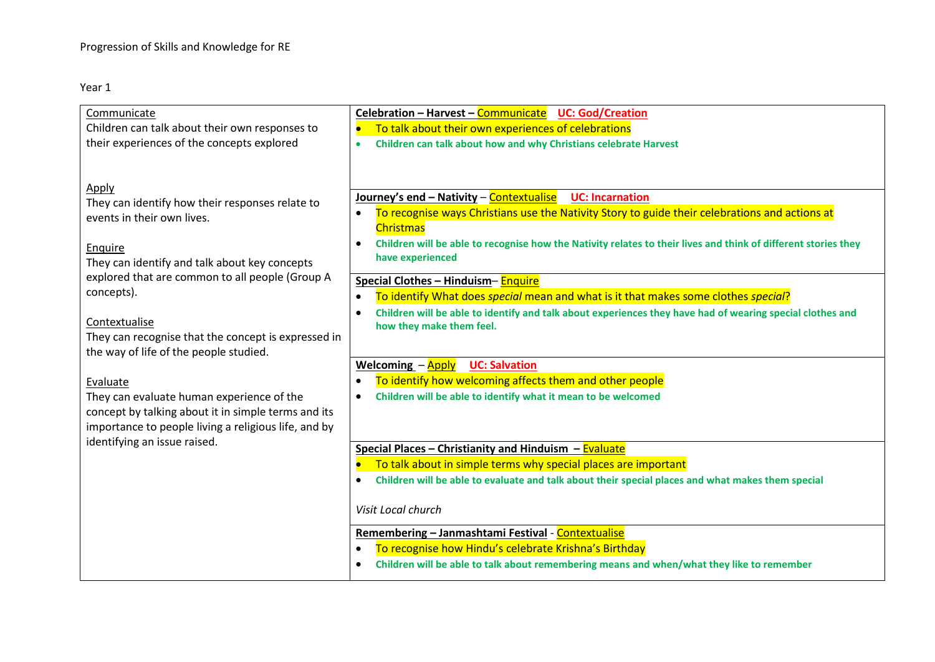| Communicate                                                                                                                                                                                                                                                                                                                                                                                                                                                                                                                                   | Celebration - Harvest - Communicate UC: God/Creation                                                                                                                                                                                                                                                                                                                                                                                                                                                                                                                                                                                                                                                                                                                                                                                                                                                                                                                                                                                                                    |
|-----------------------------------------------------------------------------------------------------------------------------------------------------------------------------------------------------------------------------------------------------------------------------------------------------------------------------------------------------------------------------------------------------------------------------------------------------------------------------------------------------------------------------------------------|-------------------------------------------------------------------------------------------------------------------------------------------------------------------------------------------------------------------------------------------------------------------------------------------------------------------------------------------------------------------------------------------------------------------------------------------------------------------------------------------------------------------------------------------------------------------------------------------------------------------------------------------------------------------------------------------------------------------------------------------------------------------------------------------------------------------------------------------------------------------------------------------------------------------------------------------------------------------------------------------------------------------------------------------------------------------------|
| Children can talk about their own responses to                                                                                                                                                                                                                                                                                                                                                                                                                                                                                                | To talk about their own experiences of celebrations                                                                                                                                                                                                                                                                                                                                                                                                                                                                                                                                                                                                                                                                                                                                                                                                                                                                                                                                                                                                                     |
| their experiences of the concepts explored                                                                                                                                                                                                                                                                                                                                                                                                                                                                                                    | Children can talk about how and why Christians celebrate Harvest<br>$\bullet$                                                                                                                                                                                                                                                                                                                                                                                                                                                                                                                                                                                                                                                                                                                                                                                                                                                                                                                                                                                           |
| Apply<br>They can identify how their responses relate to<br>events in their own lives.<br>Enquire<br>They can identify and talk about key concepts<br>explored that are common to all people (Group A<br>concepts).<br>Contextualise<br>They can recognise that the concept is expressed in<br>the way of life of the people studied.<br>Evaluate<br>They can evaluate human experience of the<br>concept by talking about it in simple terms and its<br>importance to people living a religious life, and by<br>identifying an issue raised. | Journey's end - Nativity - Contextualise<br><b>UC: Incarnation</b><br>To recognise ways Christians use the Nativity Story to guide their celebrations and actions at<br><b>Christmas</b><br>Children will be able to recognise how the Nativity relates to their lives and think of different stories they<br>$\bullet$<br>have experienced<br>Special Clothes - Hinduism-Enquire<br>To identify What does special mean and what is it that makes some clothes special?<br>$\bullet$<br>Children will be able to identify and talk about experiences they have had of wearing special clothes and<br>$\bullet$<br>how they make them feel.<br><b>UC: Salvation</b><br><b>Welcoming - Apply</b><br>To identify how welcoming affects them and other people<br>Children will be able to identify what it mean to be welcomed<br>$\bullet$<br>Special Places - Christianity and Hinduism - Evaluate<br>To talk about in simple terms why special places are important<br>Children will be able to evaluate and talk about their special places and what makes them special |
|                                                                                                                                                                                                                                                                                                                                                                                                                                                                                                                                               | Visit Local church                                                                                                                                                                                                                                                                                                                                                                                                                                                                                                                                                                                                                                                                                                                                                                                                                                                                                                                                                                                                                                                      |
|                                                                                                                                                                                                                                                                                                                                                                                                                                                                                                                                               | Remembering - Janmashtami Festival - Contextualise                                                                                                                                                                                                                                                                                                                                                                                                                                                                                                                                                                                                                                                                                                                                                                                                                                                                                                                                                                                                                      |
|                                                                                                                                                                                                                                                                                                                                                                                                                                                                                                                                               | To recognise how Hindu's celebrate Krishna's Birthday<br>$\bullet$                                                                                                                                                                                                                                                                                                                                                                                                                                                                                                                                                                                                                                                                                                                                                                                                                                                                                                                                                                                                      |
|                                                                                                                                                                                                                                                                                                                                                                                                                                                                                                                                               | Children will be able to talk about remembering means and when/what they like to remember                                                                                                                                                                                                                                                                                                                                                                                                                                                                                                                                                                                                                                                                                                                                                                                                                                                                                                                                                                               |
|                                                                                                                                                                                                                                                                                                                                                                                                                                                                                                                                               |                                                                                                                                                                                                                                                                                                                                                                                                                                                                                                                                                                                                                                                                                                                                                                                                                                                                                                                                                                                                                                                                         |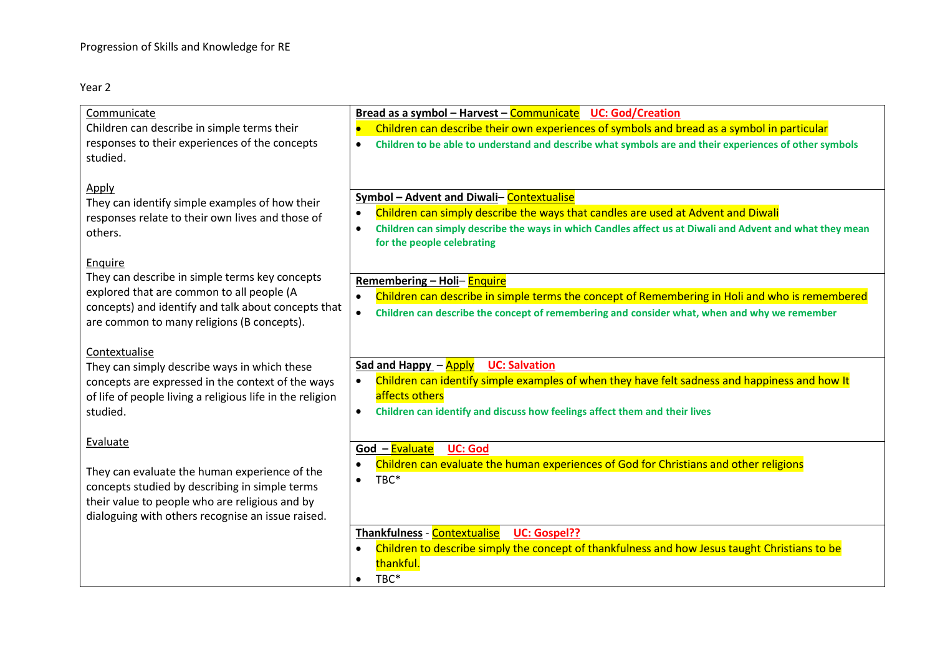| Communicate<br>Children can describe in simple terms their<br>responses to their experiences of the concepts<br>studied.                                                                                           | Bread as a symbol - Harvest - Communicate UC: God/Creation<br>Children can describe their own experiences of symbols and bread as a symbol in particular<br>$\overline{\phantom{a}}$<br>Children to be able to understand and describe what symbols are and their experiences of other symbols<br>$\bullet$ |
|--------------------------------------------------------------------------------------------------------------------------------------------------------------------------------------------------------------------|-------------------------------------------------------------------------------------------------------------------------------------------------------------------------------------------------------------------------------------------------------------------------------------------------------------|
| Apply<br>They can identify simple examples of how their<br>responses relate to their own lives and those of<br>others.                                                                                             | Symbol - Advent and Diwali-Contextualise<br>Children can simply describe the ways that candles are used at Advent and Diwali<br>$\bullet$<br>Children can simply describe the ways in which Candles affect us at Diwali and Advent and what they mean<br>$\bullet$<br>for the people celebrating            |
| Enquire<br>They can describe in simple terms key concepts<br>explored that are common to all people (A<br>concepts) and identify and talk about concepts that<br>are common to many religions (B concepts).        | Remembering - Holi- Enquire<br>Children can describe in simple terms the concept of Remembering in Holi and who is remembered<br>$\bullet$<br>Children can describe the concept of remembering and consider what, when and why we remember<br>$\bullet$                                                     |
| Contextualise<br>They can simply describe ways in which these<br>concepts are expressed in the context of the ways<br>of life of people living a religious life in the religion<br>studied.                        | <b>UC: Salvation</b><br>Sad and Happy - Apply<br>Children can identify simple examples of when they have felt sadness and happiness and how It<br>$\bullet$<br>affects others<br>Children can identify and discuss how feelings affect them and their lives<br>$\bullet$                                    |
| Evaluate<br>They can evaluate the human experience of the<br>concepts studied by describing in simple terms<br>their value to people who are religious and by<br>dialoguing with others recognise an issue raised. | God - Evaluate<br><b>UC: God</b><br>Children can evaluate the human experiences of God for Christians and other religions<br>$\bullet$<br>TBC*<br>$\bullet$                                                                                                                                                 |
|                                                                                                                                                                                                                    | Thankfulness - Contextualise<br><b>UC: Gospel??</b><br>Children to describe simply the concept of thankfulness and how Jesus taught Christians to be<br>thankful.<br>TBC*<br>$\bullet$                                                                                                                      |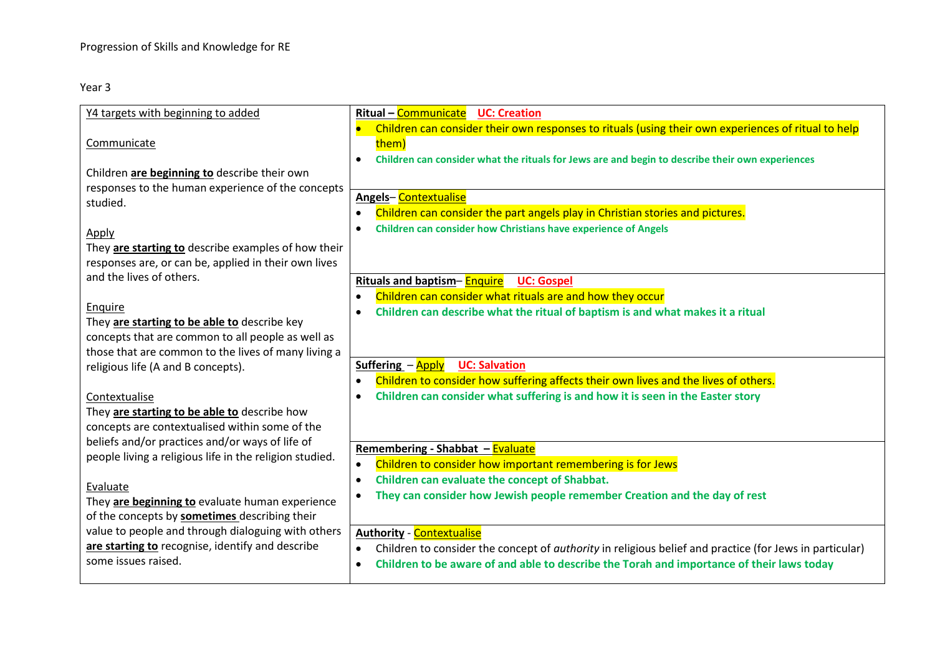| Y4 targets with beginning to added                                               | Ritual - Communicate<br><b>UC: Creation</b>                                                                  |
|----------------------------------------------------------------------------------|--------------------------------------------------------------------------------------------------------------|
|                                                                                  | Children can consider their own responses to rituals (using their own experiences of ritual to help          |
| Communicate                                                                      | them)                                                                                                        |
|                                                                                  | Children can consider what the rituals for Jews are and begin to describe their own experiences<br>$\bullet$ |
| Children are beginning to describe their own                                     |                                                                                                              |
| responses to the human experience of the concepts                                | <b>Angels-Contextualise</b>                                                                                  |
| studied.                                                                         | Children can consider the part angels play in Christian stories and pictures.<br>$\bullet$                   |
|                                                                                  | Children can consider how Christians have experience of Angels<br>$\bullet$                                  |
| Apply                                                                            |                                                                                                              |
| They are starting to describe examples of how their                              |                                                                                                              |
| responses are, or can be, applied in their own lives<br>and the lives of others. |                                                                                                              |
|                                                                                  | Rituals and baptism-Enquire<br><b>UC: Gospel</b>                                                             |
| Enquire                                                                          | Children can consider what rituals are and how they occur<br>$\bullet$                                       |
| They are starting to be able to describe key                                     | Children can describe what the ritual of baptism is and what makes it a ritual<br>$\bullet$                  |
| concepts that are common to all people as well as                                |                                                                                                              |
| those that are common to the lives of many living a                              |                                                                                                              |
| religious life (A and B concepts).                                               | Suffering - Apply UC: Salvation                                                                              |
|                                                                                  | Children to consider how suffering affects their own lives and the lives of others.<br>$\bullet$             |
| Contextualise                                                                    | Children can consider what suffering is and how it is seen in the Easter story<br>$\bullet$                  |
| They are starting to be able to describe how                                     |                                                                                                              |
| concepts are contextualised within some of the                                   |                                                                                                              |
| beliefs and/or practices and/or ways of life of                                  | Remembering - Shabbat - Evaluate                                                                             |
| people living a religious life in the religion studied.                          | Children to consider how important remembering is for Jews                                                   |
|                                                                                  | Children can evaluate the concept of Shabbat.<br>$\bullet$                                                   |
| Evaluate                                                                         | They can consider how Jewish people remember Creation and the day of rest                                    |
| They are beginning to evaluate human experience                                  |                                                                                                              |
| of the concepts by sometimes describing their                                    |                                                                                                              |
| value to people and through dialoguing with others                               | <b>Authority - Contextualise</b>                                                                             |
| are starting to recognise, identify and describe<br>some issues raised.          | Children to consider the concept of authority in religious belief and practice (for Jews in particular)      |
|                                                                                  | Children to be aware of and able to describe the Torah and importance of their laws today<br>$\bullet$       |
|                                                                                  |                                                                                                              |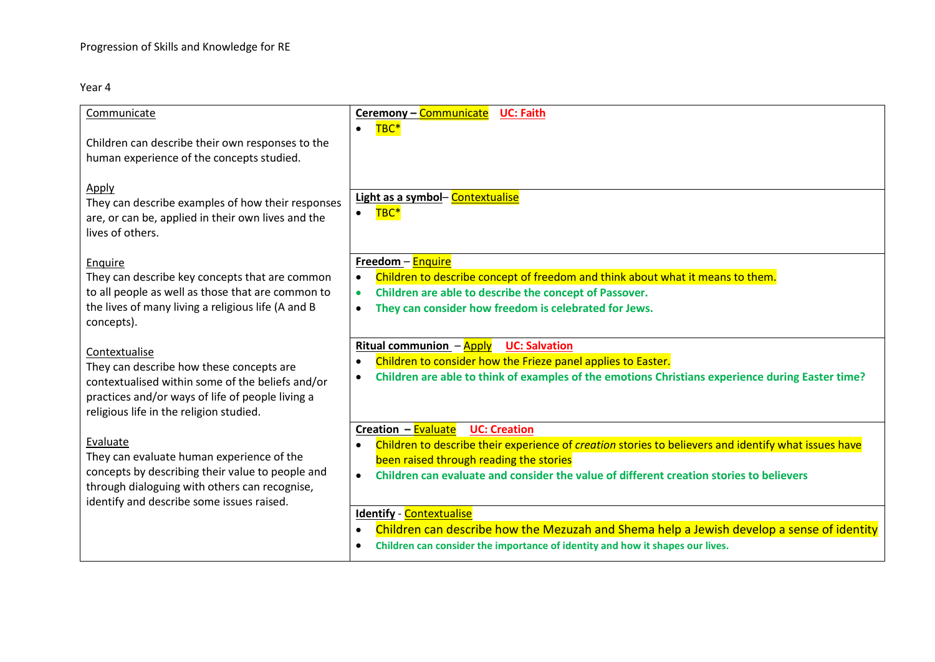| Communicate                                                                                                                                     | Ceremony - Communicate<br><b>UC: Faith</b>                                                                                                                   |
|-------------------------------------------------------------------------------------------------------------------------------------------------|--------------------------------------------------------------------------------------------------------------------------------------------------------------|
| Children can describe their own responses to the                                                                                                | TBC*<br>$\bullet$                                                                                                                                            |
| human experience of the concepts studied.                                                                                                       |                                                                                                                                                              |
| <b>Apply</b><br>They can describe examples of how their responses<br>are, or can be, applied in their own lives and the<br>lives of others.     | Light as a symbol- Contextualise<br>TBC*<br>$\bullet$                                                                                                        |
| Enquire                                                                                                                                         | Freedom - Enquire                                                                                                                                            |
| They can describe key concepts that are common                                                                                                  | Children to describe concept of freedom and think about what it means to them.<br>$\bullet$                                                                  |
| to all people as well as those that are common to<br>the lives of many living a religious life (A and B                                         | Children are able to describe the concept of Passover.<br>They can consider how freedom is celebrated for Jews.<br>$\bullet$                                 |
| concepts).                                                                                                                                      |                                                                                                                                                              |
| Contextualise                                                                                                                                   | Ritual communion $-\frac{Apply}{\sqrt{2}}$<br><b>UC: Salvation</b>                                                                                           |
| They can describe how these concepts are                                                                                                        | Children to consider how the Frieze panel applies to Easter.<br>$\bullet$                                                                                    |
| contextualised within some of the beliefs and/or<br>practices and/or ways of life of people living a<br>religious life in the religion studied. | Children are able to think of examples of the emotions Christians experience during Easter time?<br>$\bullet$                                                |
|                                                                                                                                                 | Creation - Evaluate<br><b>UC: Creation</b>                                                                                                                   |
| Evaluate<br>They can evaluate human experience of the                                                                                           | Children to describe their experience of creation stories to believers and identify what issues have<br>$\bullet$<br>been raised through reading the stories |
| concepts by describing their value to people and<br>through dialoguing with others can recognise,                                               | Children can evaluate and consider the value of different creation stories to believers<br>$\bullet$                                                         |
| identify and describe some issues raised.                                                                                                       | <b>Identify - Contextualise</b>                                                                                                                              |
|                                                                                                                                                 | Children can describe how the Mezuzah and Shema help a Jewish develop a sense of identity<br>$\bullet$                                                       |
|                                                                                                                                                 | Children can consider the importance of identity and how it shapes our lives.<br>$\bullet$                                                                   |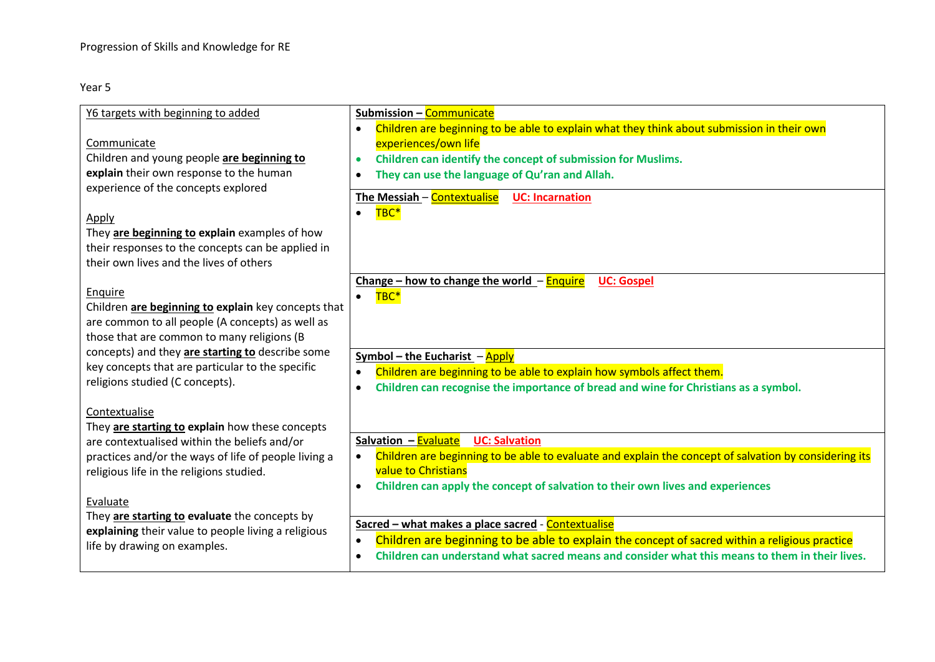| Y6 targets with beginning to added                                                                                                                                                                                                                                                                                                                                                                                                                                | Submission - Communicate                                                                                                                                                                                                                                                                                                                                                                                                                                                                                                                                                                                 |
|-------------------------------------------------------------------------------------------------------------------------------------------------------------------------------------------------------------------------------------------------------------------------------------------------------------------------------------------------------------------------------------------------------------------------------------------------------------------|----------------------------------------------------------------------------------------------------------------------------------------------------------------------------------------------------------------------------------------------------------------------------------------------------------------------------------------------------------------------------------------------------------------------------------------------------------------------------------------------------------------------------------------------------------------------------------------------------------|
|                                                                                                                                                                                                                                                                                                                                                                                                                                                                   | Children are beginning to be able to explain what they think about submission in their own<br>$\bullet$                                                                                                                                                                                                                                                                                                                                                                                                                                                                                                  |
| Communicate                                                                                                                                                                                                                                                                                                                                                                                                                                                       | experiences/own life                                                                                                                                                                                                                                                                                                                                                                                                                                                                                                                                                                                     |
| Children and young people are beginning to                                                                                                                                                                                                                                                                                                                                                                                                                        | Children can identify the concept of submission for Muslims.<br>$\bullet$                                                                                                                                                                                                                                                                                                                                                                                                                                                                                                                                |
| explain their own response to the human                                                                                                                                                                                                                                                                                                                                                                                                                           | They can use the language of Qu'ran and Allah.<br>$\bullet$                                                                                                                                                                                                                                                                                                                                                                                                                                                                                                                                              |
| experience of the concepts explored                                                                                                                                                                                                                                                                                                                                                                                                                               | The Messiah - Contextualise<br><b>UC: Incarnation</b>                                                                                                                                                                                                                                                                                                                                                                                                                                                                                                                                                    |
|                                                                                                                                                                                                                                                                                                                                                                                                                                                                   | TBC*<br>$\bullet$                                                                                                                                                                                                                                                                                                                                                                                                                                                                                                                                                                                        |
| <b>Apply</b>                                                                                                                                                                                                                                                                                                                                                                                                                                                      |                                                                                                                                                                                                                                                                                                                                                                                                                                                                                                                                                                                                          |
| They are beginning to explain examples of how                                                                                                                                                                                                                                                                                                                                                                                                                     |                                                                                                                                                                                                                                                                                                                                                                                                                                                                                                                                                                                                          |
| their responses to the concepts can be applied in                                                                                                                                                                                                                                                                                                                                                                                                                 |                                                                                                                                                                                                                                                                                                                                                                                                                                                                                                                                                                                                          |
| their own lives and the lives of others                                                                                                                                                                                                                                                                                                                                                                                                                           |                                                                                                                                                                                                                                                                                                                                                                                                                                                                                                                                                                                                          |
|                                                                                                                                                                                                                                                                                                                                                                                                                                                                   | Change - how to change the world - Enquire<br><b>UC: Gospel</b>                                                                                                                                                                                                                                                                                                                                                                                                                                                                                                                                          |
| Enquire                                                                                                                                                                                                                                                                                                                                                                                                                                                           | TBC*<br>$\bullet$                                                                                                                                                                                                                                                                                                                                                                                                                                                                                                                                                                                        |
| Children are beginning to explain key concepts that                                                                                                                                                                                                                                                                                                                                                                                                               |                                                                                                                                                                                                                                                                                                                                                                                                                                                                                                                                                                                                          |
|                                                                                                                                                                                                                                                                                                                                                                                                                                                                   |                                                                                                                                                                                                                                                                                                                                                                                                                                                                                                                                                                                                          |
|                                                                                                                                                                                                                                                                                                                                                                                                                                                                   |                                                                                                                                                                                                                                                                                                                                                                                                                                                                                                                                                                                                          |
|                                                                                                                                                                                                                                                                                                                                                                                                                                                                   |                                                                                                                                                                                                                                                                                                                                                                                                                                                                                                                                                                                                          |
|                                                                                                                                                                                                                                                                                                                                                                                                                                                                   |                                                                                                                                                                                                                                                                                                                                                                                                                                                                                                                                                                                                          |
|                                                                                                                                                                                                                                                                                                                                                                                                                                                                   | $\bullet$                                                                                                                                                                                                                                                                                                                                                                                                                                                                                                                                                                                                |
|                                                                                                                                                                                                                                                                                                                                                                                                                                                                   |                                                                                                                                                                                                                                                                                                                                                                                                                                                                                                                                                                                                          |
|                                                                                                                                                                                                                                                                                                                                                                                                                                                                   |                                                                                                                                                                                                                                                                                                                                                                                                                                                                                                                                                                                                          |
|                                                                                                                                                                                                                                                                                                                                                                                                                                                                   | Salvation - Evaluate UC: Salvation                                                                                                                                                                                                                                                                                                                                                                                                                                                                                                                                                                       |
|                                                                                                                                                                                                                                                                                                                                                                                                                                                                   |                                                                                                                                                                                                                                                                                                                                                                                                                                                                                                                                                                                                          |
|                                                                                                                                                                                                                                                                                                                                                                                                                                                                   | <b>value to Christians</b>                                                                                                                                                                                                                                                                                                                                                                                                                                                                                                                                                                               |
|                                                                                                                                                                                                                                                                                                                                                                                                                                                                   | Children can apply the concept of salvation to their own lives and experiences<br>$\bullet$                                                                                                                                                                                                                                                                                                                                                                                                                                                                                                              |
| Evaluate                                                                                                                                                                                                                                                                                                                                                                                                                                                          |                                                                                                                                                                                                                                                                                                                                                                                                                                                                                                                                                                                                          |
| They are starting to evaluate the concepts by                                                                                                                                                                                                                                                                                                                                                                                                                     |                                                                                                                                                                                                                                                                                                                                                                                                                                                                                                                                                                                                          |
| explaining their value to people living a religious                                                                                                                                                                                                                                                                                                                                                                                                               |                                                                                                                                                                                                                                                                                                                                                                                                                                                                                                                                                                                                          |
| life by drawing on examples.                                                                                                                                                                                                                                                                                                                                                                                                                                      |                                                                                                                                                                                                                                                                                                                                                                                                                                                                                                                                                                                                          |
|                                                                                                                                                                                                                                                                                                                                                                                                                                                                   |                                                                                                                                                                                                                                                                                                                                                                                                                                                                                                                                                                                                          |
| are common to all people (A concepts) as well as<br>those that are common to many religions (B<br>concepts) and they are starting to describe some<br>key concepts that are particular to the specific<br>religions studied (C concepts).<br>Contextualise<br>They are starting to explain how these concepts<br>are contextualised within the beliefs and/or<br>practices and/or the ways of life of people living a<br>religious life in the religions studied. | Symbol – the Eucharist – Apply<br>Children are beginning to be able to explain how symbols affect them.<br>$\bullet$<br>Children can recognise the importance of bread and wine for Christians as a symbol.<br>Children are beginning to be able to evaluate and explain the concept of salvation by considering its<br>Sacred - what makes a place sacred - Contextualise<br>Children are beginning to be able to explain the concept of sacred within a religious practice<br>$\bullet$<br>Children can understand what sacred means and consider what this means to them in their lives.<br>$\bullet$ |